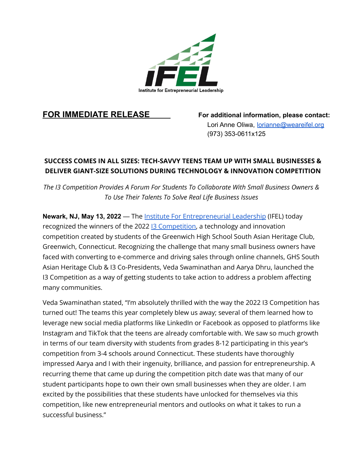

**FOR IMMEDIATE RELEASE For additional information, please contact:** Lori Anne Oliwa, lorianne@weareifel.org (973) 353-0611x125

## **SUCCESS COMES IN ALL SIZES: TECH-SAVVY TEENS TEAM UP WITH SMALL BUSINESSES & DELIVER GIANT-SIZE SOLUTIONS DURING TECHNOLOGY & INNOVATION COMPETITION**

*The I3 Competition Provides A Forum For Students To Collaborate With Small Business Owners & To Use Their Talents To Solve Real Life Business Issues*

**Newark, NJ, May 13, 2022** — The Institute For [Entrepreneurial](https://www.weareifel.org/) Leadership (IFEL) today recognized the winners of the 2022 **13 Competition**, a technology and innovation competition created by students of the Greenwich High School South Asian Heritage Club, Greenwich, Connecticut. Recognizing the challenge that many small business owners have faced with converting to e-commerce and driving sales through online channels, GHS South Asian Heritage Club & I3 Co-Presidents, Veda Swaminathan and Aarya Dhru, launched the I3 Competition as a way of getting students to take action to address a problem affecting many communities.

Veda Swaminathan stated, "I'm absolutely thrilled with the way the 2022 I3 Competition has turned out! The teams this year completely blew us away; several of them learned how to leverage new social media platforms like LinkedIn or Facebook as opposed to platforms like Instagram and TikTok that the teens are already comfortable with. We saw so much growth in terms of our team diversity with students from grades 8-12 participating in this year's competition from 3-4 schools around Connecticut. These students have thoroughly impressed Aarya and I with their ingenuity, brilliance, and passion for entrepreneurship. A recurring theme that came up during the competition pitch date was that many of our student participants hope to own their own small businesses when they are older. I am excited by the possibilities that these students have unlocked for themselves via this competition, like new entrepreneurial mentors and outlooks on what it takes to run a successful business."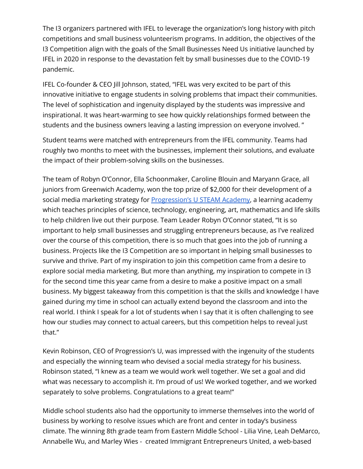The I3 organizers partnered with IFEL to leverage the organization's long history with pitch competitions and small business volunteerism programs. In addition, the objectives of the I3 Competition align with the goals of the Small Businesses Need Us initiative launched by IFEL in 2020 in response to the devastation felt by small businesses due to the COVID-19 pandemic.

IFEL Co-founder & CEO Jill Johnson, stated, "IFEL was very excited to be part of this innovative initiative to engage students in solving problems that impact their communities. The level of sophistication and ingenuity displayed by the students was impressive and inspirational. It was heart-warming to see how quickly relationships formed between the students and the business owners leaving a lasting impression on everyone involved. "

Student teams were matched with entrepreneurs from the IFEL community. Teams had roughly two months to meet with the businesses, implement their solutions, and evaluate the impact of their problem-solving skills on the businesses.

The team of Robyn O'Connor, Ella Schoonmaker, Caroline Blouin and Maryann Grace, all juniors from Greenwich Academy, won the top prize of \$2,000 for their development of a social media marketing strategy for [Progression's](https://www.progressionsu.com/) U STEAM Academy, a learning academy which teaches principles of science, technology, engineering, art, mathematics and life skills to help children live out their purpose. Team Leader Robyn O'Connor stated, "It is so important to help small businesses and struggling entrepreneurs because, as I've realized over the course of this competition, there is so much that goes into the job of running a business. Projects like the I3 Competition are so important in helping small businesses to survive and thrive. Part of my inspiration to join this competition came from a desire to explore social media marketing. But more than anything, my inspiration to compete in I3 for the second time this year came from a desire to make a positive impact on a small business. My biggest takeaway from this competition is that the skills and knowledge I have gained during my time in school can actually extend beyond the classroom and into the real world. I think I speak for a lot of students when I say that it is often challenging to see how our studies may connect to actual careers, but this competition helps to reveal just that."

Kevin Robinson, CEO of Progression's U, was impressed with the ingenuity of the students and especially the winning team who devised a social media strategy for his business. Robinson stated, "I knew as a team we would work well together. We set a goal and did what was necessary to accomplish it. I'm proud of us! We worked together, and we worked separately to solve problems. Congratulations to a great team!"

Middle school students also had the opportunity to immerse themselves into the world of business by working to resolve issues which are front and center in today's business climate. The winning 8th grade team from Eastern Middle School - Lilia Vine, Leah DeMarco, Annabelle Wu, and Marley Wies - created Immigrant Entrepreneurs United, a web-based